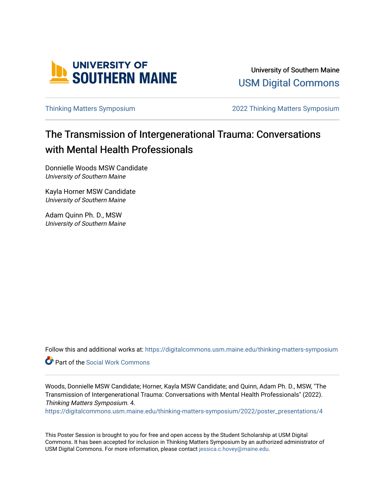

University of Southern Maine [USM Digital Commons](https://digitalcommons.usm.maine.edu/) 

[Thinking Matters Symposium](https://digitalcommons.usm.maine.edu/thinking-matters-symposium) [2022 Thinking Matters Symposium](https://digitalcommons.usm.maine.edu/thinking-matters-symposium/2022) 

#### The Transmission of Intergenerational Trauma: Conversations with Mental Health Professionals

Donnielle Woods MSW Candidate University of Southern Maine

Kayla Horner MSW Candidate University of Southern Maine

Adam Quinn Ph. D., MSW University of Southern Maine

Follow this and additional works at: [https://digitalcommons.usm.maine.edu/thinking-matters-symposium](https://digitalcommons.usm.maine.edu/thinking-matters-symposium?utm_source=digitalcommons.usm.maine.edu%2Fthinking-matters-symposium%2F2022%2Fposter_presentations%2F4&utm_medium=PDF&utm_campaign=PDFCoverPages) 

Part of the [Social Work Commons](http://network.bepress.com/hgg/discipline/713?utm_source=digitalcommons.usm.maine.edu%2Fthinking-matters-symposium%2F2022%2Fposter_presentations%2F4&utm_medium=PDF&utm_campaign=PDFCoverPages)

Woods, Donnielle MSW Candidate; Horner, Kayla MSW Candidate; and Quinn, Adam Ph. D., MSW, "The Transmission of Intergenerational Trauma: Conversations with Mental Health Professionals" (2022). Thinking Matters Symposium. 4.

[https://digitalcommons.usm.maine.edu/thinking-matters-symposium/2022/poster\\_presentations/4](https://digitalcommons.usm.maine.edu/thinking-matters-symposium/2022/poster_presentations/4?utm_source=digitalcommons.usm.maine.edu%2Fthinking-matters-symposium%2F2022%2Fposter_presentations%2F4&utm_medium=PDF&utm_campaign=PDFCoverPages)

This Poster Session is brought to you for free and open access by the Student Scholarship at USM Digital Commons. It has been accepted for inclusion in Thinking Matters Symposium by an authorized administrator of USM Digital Commons. For more information, please contact [jessica.c.hovey@maine.edu](mailto:ian.fowler@maine.edu).